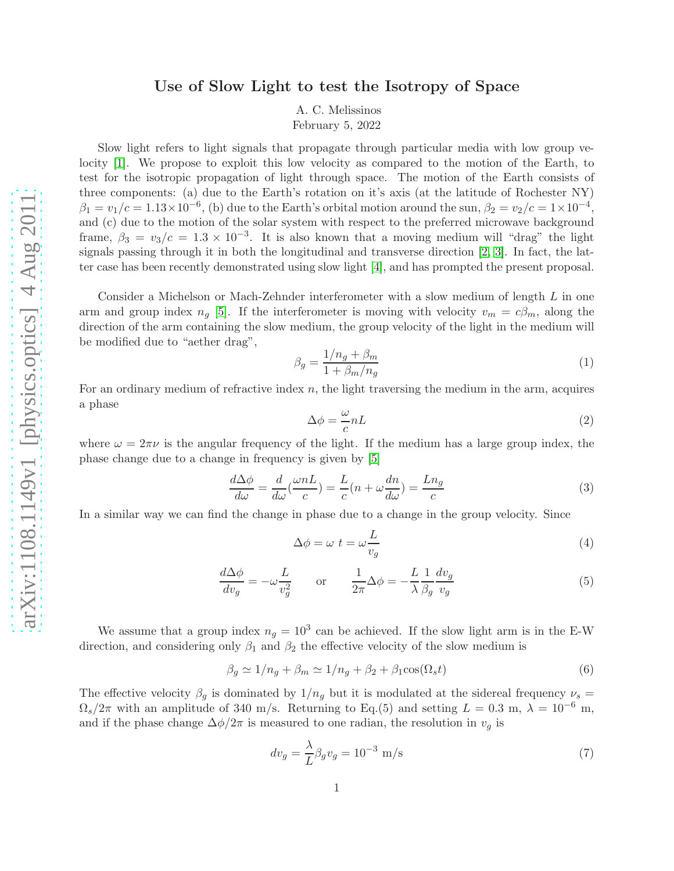## Use of Slow Light to test the Isotropy of Space

A. C. Melissinos

February 5, 2022

Slow light refers to light signals that propagate through particular media with low group velocity [\[1\]](#page-1-0). We propose to exploit this low velocity as compared to the motion of the Earth, to test for the isotropic propagation of light through space. The motion of the Earth consists of three components: (a) due to the Earth's rotation on it's axis (at the latitude of Rochester NY)  $\beta_1 = v_1/c = 1.13 \times 10^{-6}$ , (b) due to the Earth's orbital motion around the sun,  $\beta_2 = v_2/c = 1 \times 10^{-4}$ , and (c) due to the motion of the solar system with respect to the preferred microwave background frame,  $\beta_3 = v_3/c = 1.3 \times 10^{-3}$ . It is also known that a moving medium will "drag" the light signals passing through it in both the longitudinal and transverse direction [\[2,](#page-1-1) [3\]](#page-1-2). In fact, the latter case has been recently demonstrated using slow light [\[4\]](#page-1-3), and has prompted the present proposal.

Consider a Michelson or Mach-Zehnder interferometer with a slow medium of length L in one arm and group index  $n_q$  [\[5\]](#page-1-4). If the interferometer is moving with velocity  $v_m = c\beta_m$ , along the direction of the arm containing the slow medium, the group velocity of the light in the medium will be modified due to "aether drag",

$$
\beta_g = \frac{1/n_g + \beta_m}{1 + \beta_m/n_g} \tag{1}
$$

For an ordinary medium of refractive index  $n$ , the light traversing the medium in the arm, acquires a phase

$$
\Delta \phi = \frac{\omega}{c} n L \tag{2}
$$

where  $\omega = 2\pi\nu$  is the angular frequency of the light. If the medium has a large group index, the phase change due to a change in frequency is given by [\[5\]](#page-1-4)

$$
\frac{d\Delta\phi}{d\omega} = \frac{d}{d\omega}(\frac{\omega nL}{c}) = \frac{L}{c}(n + \omega\frac{dn}{d\omega}) = \frac{Ln_g}{c}
$$
\n(3)

In a similar way we can find the change in phase due to a change in the group velocity. Since

$$
\Delta \phi = \omega \ t = \omega \frac{L}{v_g} \tag{4}
$$

$$
\frac{d\Delta\phi}{dv_g} = -\omega \frac{L}{v_g^2} \qquad \text{or} \qquad \frac{1}{2\pi} \Delta\phi = -\frac{L}{\lambda} \frac{1}{\beta_g} \frac{dv_g}{v_g} \tag{5}
$$

We assume that a group index  $n_g = 10^3$  can be achieved. If the slow light arm is in the E-W direction, and considering only  $\beta_1$  and  $\beta_2$  the effective velocity of the slow medium is

$$
\beta_g \simeq 1/n_g + \beta_m \simeq 1/n_g + \beta_2 + \beta_1 \cos(\Omega_s t) \tag{6}
$$

The effective velocity  $\beta_g$  is dominated by  $1/n_g$  but it is modulated at the sidereal frequency  $\nu_s =$  $\Omega_s/2\pi$  with an amplitude of 340 m/s. Returning to Eq.(5) and setting  $L = 0.3$  m,  $\lambda = 10^{-6}$  m, and if the phase change  $\Delta\phi/2\pi$  is measured to one radian, the resolution in  $v_g$  is

$$
dv_g = \frac{\lambda}{L} \beta_g v_g = 10^{-3} \text{ m/s}
$$
\n<sup>(7)</sup>